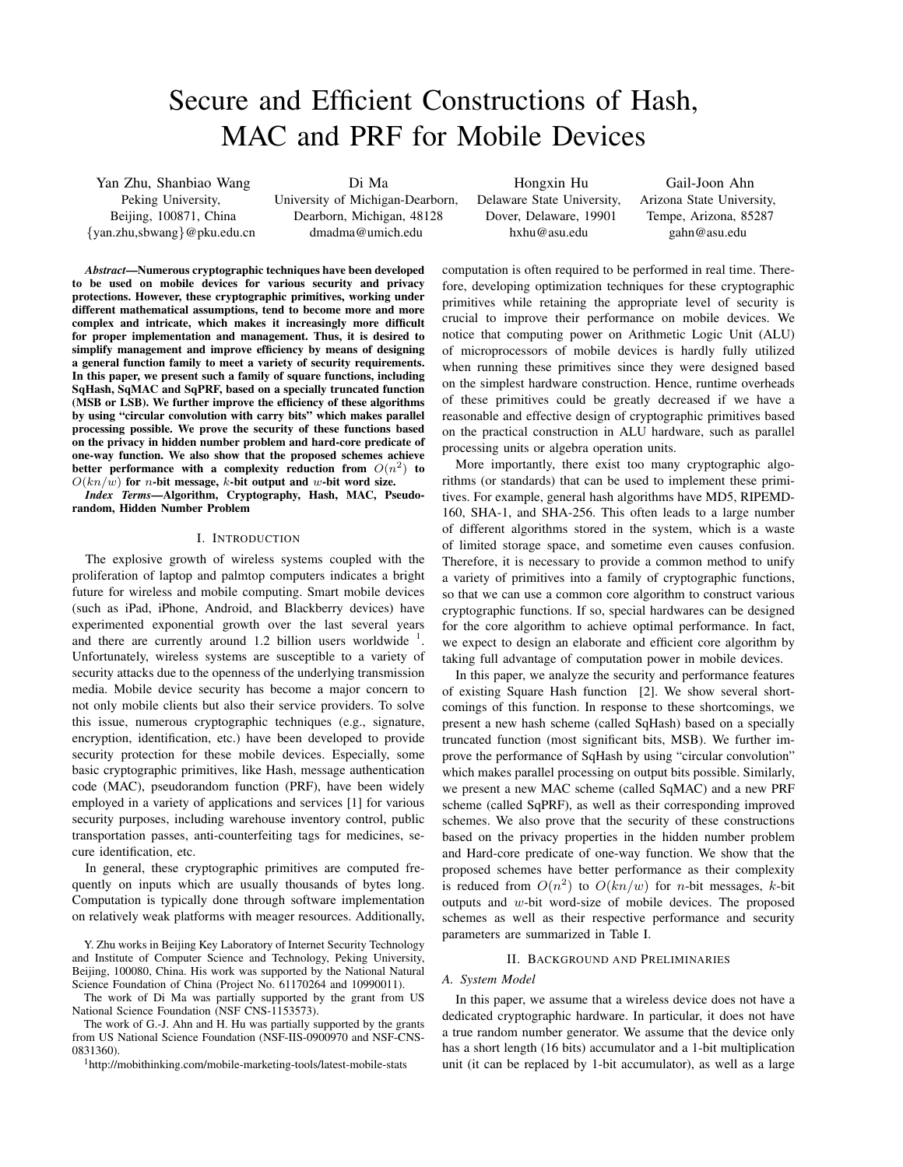# Secure and Efficient Constructions of Hash, MAC and PRF for Mobile Devices

Yan Zhu, Shanbiao Wang Peking University, Beijing, 100871, China *{*yan.zhu,sbwang*}*@pku.edu.cn

Di Ma University of Michigan-Dearborn, Dearborn, Michigan, 48128 dmadma@umich.edu

Hongxin Hu Delaware State University, Dover, Delaware, 19901 hxhu@asu.edu

Gail-Joon Ahn Arizona State University, Tempe, Arizona, 85287 gahn@asu.edu

*Abstract*—Numerous cryptographic techniques have been developed to be used on mobile devices for various security and privacy protections. However, these cryptographic primitives, working under different mathematical assumptions, tend to become more and more complex and intricate, which makes it increasingly more difficult for proper implementation and management. Thus, it is desired to simplify management and improve efficiency by means of designing a general function family to meet a variety of security requirements. In this paper, we present such a family of square functions, including SqHash, SqMAC and SqPRF, based on a specially truncated function (MSB or LSB). We further improve the efficiency of these algorithms by using "circular convolution with carry bits" which makes parallel processing possible. We prove the security of these functions based on the privacy in hidden number problem and hard-core predicate of one-way function. We also show that the proposed schemes achieve better performance with a complexity reduction from  $O(n^2)$  to *O*(*kn/w*) for *n*-bit message, *k*-bit output and *w*-bit word size.

*Index Terms*—Algorithm, Cryptography, Hash, MAC, Pseudorandom, Hidden Number Problem

## I. INTRODUCTION

The explosive growth of wireless systems coupled with the proliferation of laptop and palmtop computers indicates a bright future for wireless and mobile computing. Smart mobile devices (such as iPad, iPhone, Android, and Blackberry devices) have experimented exponential growth over the last several years and there are currently around 1.2 billion users worldwide  $<sup>1</sup>$ .</sup> Unfortunately, wireless systems are susceptible to a variety of security attacks due to the openness of the underlying transmission media. Mobile device security has become a major concern to not only mobile clients but also their service providers. To solve this issue, numerous cryptographic techniques (e.g., signature, encryption, identification, etc.) have been developed to provide security protection for these mobile devices. Especially, some basic cryptographic primitives, like Hash, message authentication code (MAC), pseudorandom function (PRF), have been widely employed in a variety of applications and services [1] for various security purposes, including warehouse inventory control, public transportation passes, anti-counterfeiting tags for medicines, secure identification, etc.

In general, these cryptographic primitives are computed frequently on inputs which are usually thousands of bytes long. Computation is typically done through software implementation on relatively weak platforms with meager resources. Additionally,

Y. Zhu works in Beijing Key Laboratory of Internet Security Technology and Institute of Computer Science and Technology, Peking University, Beijing, 100080, China. His work was supported by the National Natural Science Foundation of China (Project No. 61170264 and 10990011).

The work of Di Ma was partially supported by the grant from US National Science Foundation (NSF CNS-1153573).

The work of G.-J. Ahn and H. Hu was partially supported by the grants from US National Science Foundation (NSF-IIS-0900970 and NSF-CNS-0831360).

<sup>1</sup>http://mobithinking.com/mobile-marketing-tools/latest-mobile-stats

computation is often required to be performed in real time. Therefore, developing optimization techniques for these cryptographic primitives while retaining the appropriate level of security is crucial to improve their performance on mobile devices. We notice that computing power on Arithmetic Logic Unit (ALU) of microprocessors of mobile devices is hardly fully utilized when running these primitives since they were designed based on the simplest hardware construction. Hence, runtime overheads of these primitives could be greatly decreased if we have a reasonable and effective design of cryptographic primitives based on the practical construction in ALU hardware, such as parallel processing units or algebra operation units.

More importantly, there exist too many cryptographic algorithms (or standards) that can be used to implement these primitives. For example, general hash algorithms have MD5, RIPEMD-160, SHA-1, and SHA-256. This often leads to a large number of different algorithms stored in the system, which is a waste of limited storage space, and sometime even causes confusion. Therefore, it is necessary to provide a common method to unify a variety of primitives into a family of cryptographic functions, so that we can use a common core algorithm to construct various cryptographic functions. If so, special hardwares can be designed for the core algorithm to achieve optimal performance. In fact, we expect to design an elaborate and efficient core algorithm by taking full advantage of computation power in mobile devices.

In this paper, we analyze the security and performance features of existing Square Hash function [2]. We show several shortcomings of this function. In response to these shortcomings, we present a new hash scheme (called SqHash) based on a specially truncated function (most significant bits, MSB). We further improve the performance of SqHash by using "circular convolution" which makes parallel processing on output bits possible. Similarly, we present a new MAC scheme (called SqMAC) and a new PRF scheme (called SqPRF), as well as their corresponding improved schemes. We also prove that the security of these constructions based on the privacy properties in the hidden number problem and Hard-core predicate of one-way function. We show that the proposed schemes have better performance as their complexity is reduced from  $O(n^2)$  to  $O(kn/w)$  for *n*-bit messages, *k*-bit outputs and *w*-bit word-size of mobile devices. The proposed schemes as well as their respective performance and security parameters are summarized in Table I.

#### II. BACKGROUND AND PRELIMINARIES

#### *A. System Model*

In this paper, we assume that a wireless device does not have a dedicated cryptographic hardware. In particular, it does not have a true random number generator. We assume that the device only has a short length (16 bits) accumulator and a 1-bit multiplication unit (it can be replaced by 1-bit accumulator), as well as a large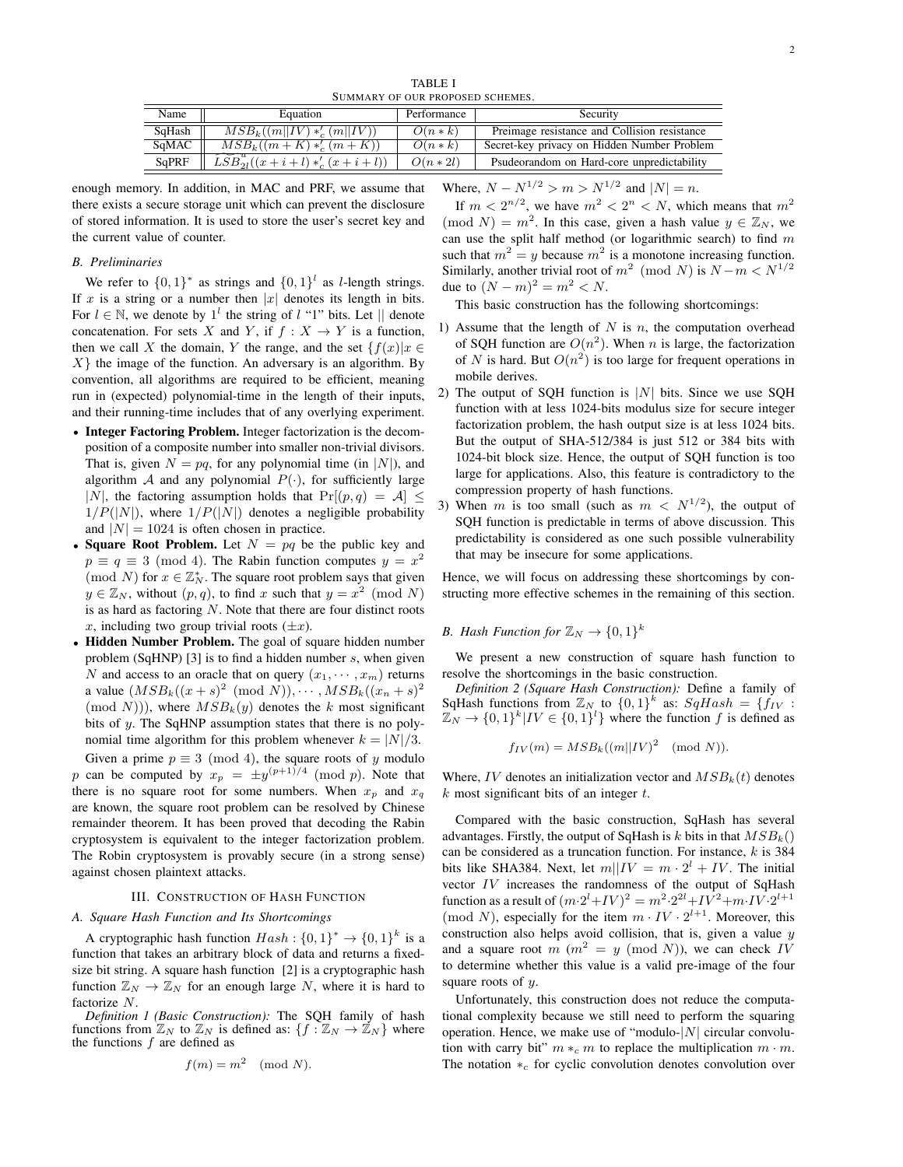TABLE I SUMMARY OF OUR PROPOSED SCHEMES.

| Name   | Equation                                                           | Performance | Security                                     |  |
|--------|--------------------------------------------------------------------|-------------|----------------------------------------------|--|
| SqHash | $MSB_k((m  IV)*'_{c}(m  IV))$                                      | $O(n*k)$    | Preimage resistance and Collision resistance |  |
| SqMAC  | $MSB_k((m+K) *'_c (m+K))$                                          | $O(n*k)$    | Secret-key privacy on Hidden Number Problem  |  |
| SqPRF  | $\widetilde{\widetilde{LSB}}_{2l}^{u}((x+i+l)\ast_{c}^{'}(x+i+l))$ | $O(n * 2l)$ | Psudeorandom on Hard-core unpredictability   |  |

enough memory. In addition, in MAC and PRF, we assume that there exists a secure storage unit which can prevent the disclosure of stored information. It is used to store the user's secret key and the current value of counter.

## *B. Preliminaries*

We refer to  $\{0, 1\}^*$  as strings and  $\{0, 1\}^l$  as *l*-length strings. If *x* is a string or a number then  $|x|$  denotes its length in bits. For  $l \in \mathbb{N}$ , we denote by  $1^l$  the string of  $l$  "1" bits. Let  $||$  denote concatenation. For sets *X* and *Y*, if  $f : X \to Y$  is a function, then we call *X* the domain, *Y* the range, and the set  $\{f(x)|x \in$ *X}* the image of the function. An adversary is an algorithm. By convention, all algorithms are required to be efficient, meaning run in (expected) polynomial-time in the length of their inputs, and their running-time includes that of any overlying experiment.

- *•* Integer Factoring Problem. Integer factorization is the decomposition of a composite number into smaller non-trivial divisors. That is, given  $N = pq$ , for any polynomial time (in  $|N|$ ), and algorithm *A* and any polynomial  $P(\cdot)$ , for sufficiently large *|N|*, the factoring assumption holds that  $Pr[(p, q) = A]$  *≤*  $1/P(|N|)$ , where  $1/P(|N|)$  denotes a negligible probability and  $|N| = 1024$  is often chosen in practice.
- *•* Square Root Problem. Let *N* = *pq* be the public key and  $p \equiv q \equiv 3 \pmod{4}$ . The Rabin function computes  $y = x^2$ (mod *N*) for  $x \in \mathbb{Z}_N^*$ . The square root problem says that given  $y \in \mathbb{Z}_N$ , without  $(p, q)$ , to find *x* such that  $y = x^2 \pmod{N}$ is as hard as factoring *N*. Note that there are four distinct roots *x*, including two group trivial roots  $(\pm x)$ .
- *•* Hidden Number Problem. The goal of square hidden number problem (SqHNP) [3] is to find a hidden number *s*, when given *N* and access to an oracle that on query  $(x_1, \dots, x_m)$  returns a value  $(MSB_k((x+s)^2 \pmod{N}))$ ,  $\cdots$ ,  $MSB_k((x_n+s)^2)$  $(\text{mod } N))$ , where  $MSB_k(y)$  denotes the *k* most significant bits of *y*. The SqHNP assumption states that there is no polynomial time algorithm for this problem whenever  $k = |N|/3$ .

Given a prime  $p \equiv 3 \pmod{4}$ , the square roots of *y* modulo *p* can be computed by  $x_p = \pm y^{(p+1)/4} \pmod{p}$ . Note that there is no square root for some numbers. When  $x_p$  and  $x_q$ are known, the square root problem can be resolved by Chinese remainder theorem. It has been proved that decoding the Rabin cryptosystem is equivalent to the integer factorization problem. The Robin cryptosystem is provably secure (in a strong sense) against chosen plaintext attacks.

#### III. CONSTRUCTION OF HASH FUNCTION

## *A. Square Hash Function and Its Shortcomings*

A cryptographic hash function  $Hash: \{0, 1\}^* \rightarrow \{0, 1\}^k$  is a function that takes an arbitrary block of data and returns a fixedsize bit string. A square hash function [2] is a cryptographic hash function  $\mathbb{Z}_N \to \mathbb{Z}_N$  for an enough large *N*, where it is hard to factorize *N*.

*Definition 1 (Basic Construction):* The SQH family of hash functions from  $\mathbb{Z}_N$  to  $\mathbb{Z}_N$  is defined as:  $\{f : \mathbb{Z}_N \to \mathbb{Z}_N\}$  where the functions *f* are defined as

$$
f(m) = m^2 \pmod{N}.
$$

 $W$  *Mhere,*  $N - N^{1/2} > m > N^{1/2}$  and  $|N| = n$ .

If  $m < 2^{n/2}$ , we have  $m^2 < 2^n < N$ , which means that  $m^2$  $p(\text{mod } N) = m^2$ . In this case, given a hash value  $y \in \mathbb{Z}_N$ , we can use the split half method (or logarithmic search) to find *m* such that  $m^2 = y$  because  $m^2$  is a monotone increasing function. Similarly, another trivial root of  $m^2 \pmod{N}$  is  $N - m < N^{1/2}$ due to  $(N - m)^2 = m^2 < N$ .

This basic construction has the following shortcomings:

- 1) Assume that the length of *N* is *n*, the computation overhead of SQH function are  $O(n^2)$ . When *n* is large, the factorization of *N* is hard. But  $O(n^2)$  is too large for frequent operations in mobile derives.
- 2) The output of SQH function is *|N|* bits. Since we use SQH function with at less 1024-bits modulus size for secure integer factorization problem, the hash output size is at less 1024 bits. But the output of SHA-512/384 is just 512 or 384 bits with 1024-bit block size. Hence, the output of SQH function is too large for applications. Also, this feature is contradictory to the compression property of hash functions.
- 3) When *m* is too small (such as  $m < N^{1/2}$ ), the output of SQH function is predictable in terms of above discussion. This predictability is considered as one such possible vulnerability that may be insecure for some applications.

Hence, we will focus on addressing these shortcomings by constructing more effective schemes in the remaining of this section.

# *B.* Hash Function for  $\mathbb{Z}_N \to \{0,1\}^k$

We present a new construction of square hash function to resolve the shortcomings in the basic construction.

*Definition 2 (Square Hash Construction):* Define a family of SqHash functions from  $\mathbb{Z}_N$  to  $\{0,1\}^k$  as:  $SqHash = \{f_{IV}:$  $\mathbb{Z}_N \to \{0,1\}^k | IV \in \{0,1\}^l\}$  where the function *f* is defined as

$$
f_{IV}(m) = MSB_k((m||IV)^2 \pmod{N}).
$$

Where, *IV* denotes an initialization vector and  $MSB_k(t)$  denotes *k* most significant bits of an integer *t*.

Compared with the basic construction, SqHash has several advantages. Firstly, the output of SqHash is  $k$  bits in that  $MSB_k()$ can be considered as a truncation function. For instance, *k* is 384 bits like SHA384. Next, let  $m||IV = m \cdot 2^{l} + IV$ . The initial vector *IV* increases the randomness of the output of SqHash function as a result of  $(m \cdot 2^{l} + IV)^{2} = m^{2} \cdot 2^{2l} + IV^{2} + m \cdot IV \cdot 2^{l+1}$ (mod *N*), especially for the item  $m \cdot IV \cdot 2^{l+1}$ . Moreover, this construction also helps avoid collision, that is, given a value *y* and a square root  $m$  ( $m^2 = y$  (mod *N*)), we can check *IV* to determine whether this value is a valid pre-image of the four square roots of *y*.

Unfortunately, this construction does not reduce the computational complexity because we still need to perform the squaring operation. Hence, we make use of "modulo-*|N|* circular convolution with carry bit"  $m *_c m$  to replace the multiplication  $m \cdot m$ . The notation *∗<sup>c</sup>* for cyclic convolution denotes convolution over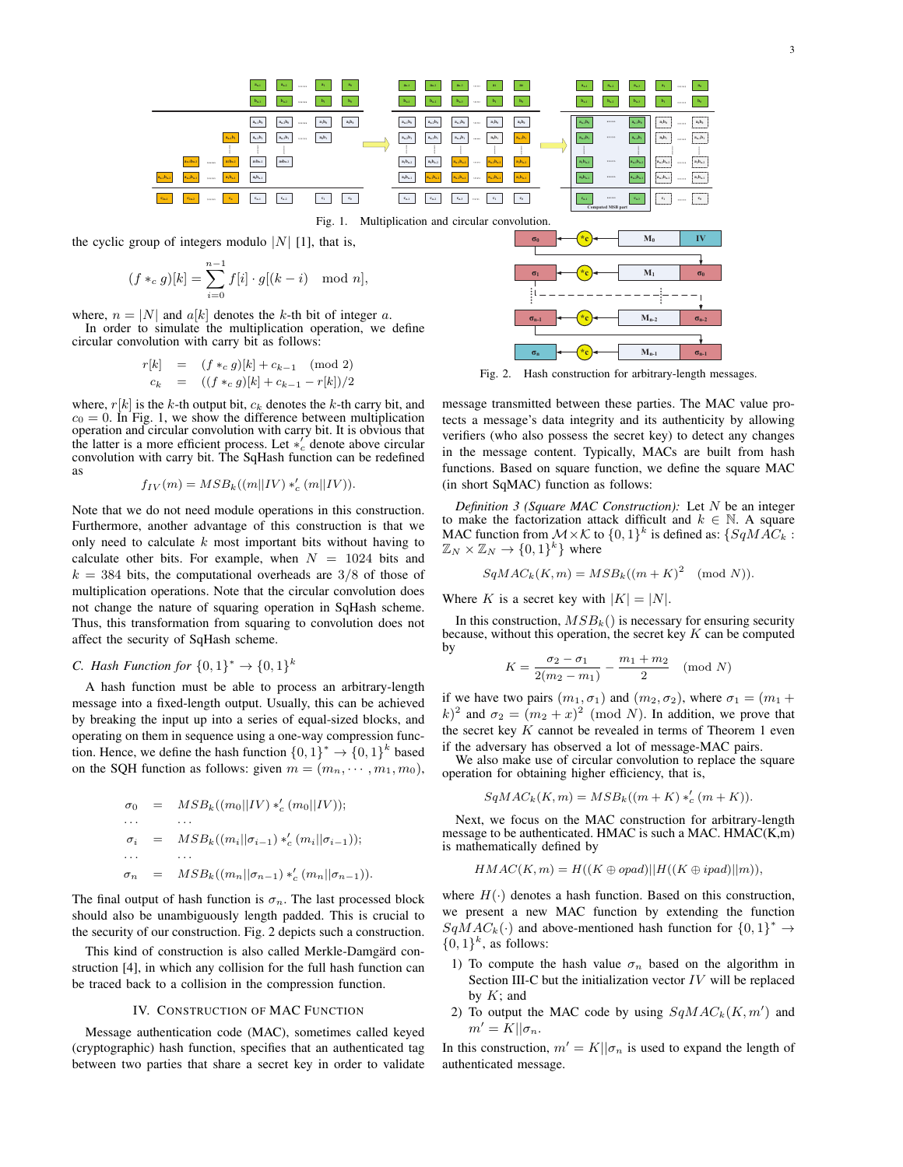

$$
(f *_{c} g)[k] = \sum_{i=0}^{n} f[i] \cdot g[(k-i) \mod n],
$$

where,  $n = |N|$  and  $a[k]$  denotes the k-th bit of integer a. In order to simulate the multiplication operation, we define circular convolution with carry bit as follows:

$$
r[k] = (f *_{c} g)[k] + c_{k-1} \pmod{2}
$$
  
\n
$$
c_{k} = ((f *_{c} g)[k] + c_{k-1} - r[k])/2
$$

where,  $r[k]$  is the k-th output bit,  $c_k$  denotes the k-th carry bit, and  $c_0 = 0$ . In Fig. 1, we show the difference between multiplication operation and circular convolution with carry bit. It is obvious that the latter is a more efficient process. Let  $*_c'$  denote above circular convolution with carry bit. The SqHash function can be redefined as

$$
f_{IV}(m) = MSB_k((m||IV) *'_c (m||IV)).
$$

Note that we do not need module operations in this construction. Furthermore, another advantage of this construction is that we only need to calculate  $k$  most important bits without having to calculate other bits. For example, when  $N = 1024$  bits and  $k = 384$  bits, the computational overheads are 3/8 of those of multiplication operations. Note that the circular convolution does not change the nature of squaring operation in SqHash scheme. Thus, this transformation from squaring to convolution does not affect the security of SqHash scheme.

## C. Hash Function for  $\{0,1\}^* \rightarrow \{0,1\}^k$

A hash function must be able to process an arbitrary-length message into a fixed-length output. Usually, this can be achieved by breaking the input up into a series of equal-sized blocks, and operating on them in sequence using a one-way compression function. Hence, we define the hash function  $\{0,1\}^* \to \{0,1\}^k$  based on the SQH function as follows: given  $m = (m_n, \dots, m_1, m_0)$ ,

$$
\sigma_0 = MSB_k((m_0||IV) *'_c (m_0||IV));
$$
  
\n...  
\n
$$
\sigma_i = MSB_k((m_i||\sigma_{i-1}) *'_c (m_i||\sigma_{i-1}));
$$
  
\n...  
\n...  
\n
$$
\sigma_n = MSB_k((m_n||\sigma_{n-1}) *'_c (m_n||\sigma_{n-1})).
$$

The final output of hash function is  $\sigma_n$ . The last processed block should also be unambiguously length padded. This is crucial to the security of our construction. Fig. 2 depicts such a construction.

This kind of construction is also called Merkle-Damgärd construction [4], in which any collision for the full hash function can be traced back to a collision in the compression function.

### **IV. CONSTRUCTION OF MAC FUNCTION**

Message authentication code (MAC), sometimes called keyed (cryptographic) hash function, specifies that an authenticated tag between two parties that share a secret key in order to validate



Fig. 2. Hash construction for arbitrary-length messages.

message transmitted between these parties. The MAC value protects a message's data integrity and its authenticity by allowing verifiers (who also possess the secret key) to detect any changes in the message content. Typically, MACs are built from hash functions. Based on square function, we define the square MAC (in short SqMAC) function as follows:

Definition 3 (Square MAC Construction): Let  $N$  be an integer to make the factorization attack difficult and  $k \in \mathbb{N}$ . A square MAC function from  $M \times K$  to  $\{0,1\}^k$  is defined as:  $\{SqMAC_k :$  $\mathbb{Z}_N \times \mathbb{Z}_N \to \{0,1\}^k$  where

$$
SqMAC_{k}(K, m) = MSB_{k}((m+K)^{2} \pmod{N}).
$$

Where K is a secret key with  $|K| = |N|$ .

In this construction,  $MSB_k()$  is necessary for ensuring security because, without this operation, the secret key  $K$  can be computed by

$$
K = \frac{\sigma_2 - \sigma_1}{2(m_2 - m_1)} - \frac{m_1 + m_2}{2} \pmod{N}
$$

if we have two pairs  $(m_1, \sigma_1)$  and  $(m_2, \sigma_2)$ , where  $\sigma_1 = (m_1 +$  $(k)^2$  and  $\sigma_2 = (m_2 + x)^2$  (mod N). In addition, we prove that the secret key  $K$  cannot be revealed in terms of Theorem 1 even if the adversary has observed a lot of message-MAC pairs.

We also make use of circular convolution to replace the square operation for obtaining higher efficiency, that is,

$$
SqMAC_{k}(K, m) = MSB_{k}((m+K) *_{c}' (m+K))
$$

Next, we focus on the MAC construction for arbitrary-length message to be authenticated. HMAC is such a MAC. HMAC(K,m) is mathematically defined by

$$
HMAC(K, m) = H((K \oplus opad)||H((K \oplus ipad)||m)),
$$

where  $H(\cdot)$  denotes a hash function. Based on this construction, we present a new MAC function by extending the function  $SqMAC_{k}(\cdot)$  and above-mentioned hash function for  $\{0,1\}^{*} \rightarrow$  $\{0,1\}^k$ , as follows:

- 1) To compute the hash value  $\sigma_n$  based on the algorithm in Section III-C but the initialization vector  $IV$  will be replaced by  $K$ ; and
- 2) To output the MAC code by using  $SqMAC_k(K, m')$  and  $m' = K||\sigma_n.$

In this construction,  $m' = K||\sigma_n$  is used to expand the length of authenticated message.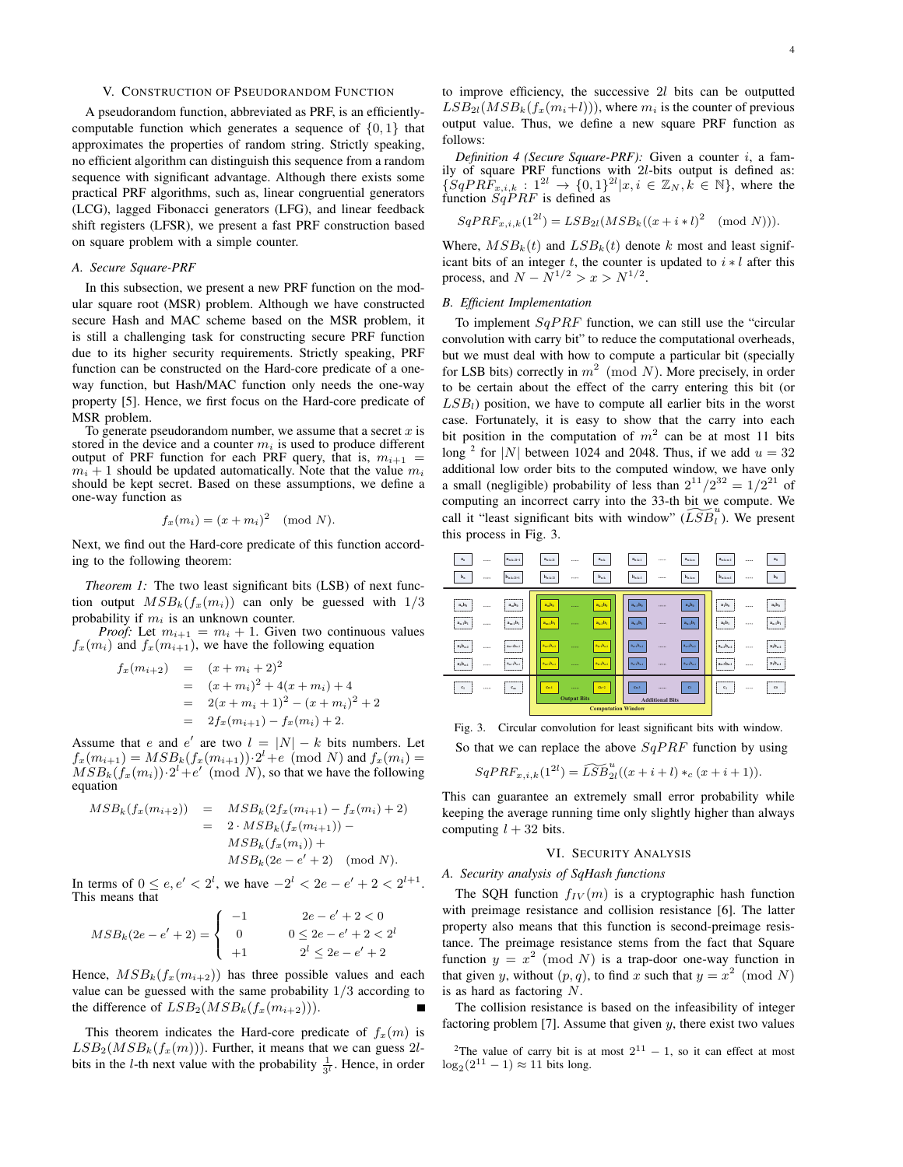#### V. CONSTRUCTION OF PSEUDORANDOM FUNCTION

A pseudorandom function, abbreviated as PRF, is an efficientlycomputable function which generates a sequence of *{*0*,* 1*}* that approximates the properties of random string. Strictly speaking, no efficient algorithm can distinguish this sequence from a random sequence with significant advantage. Although there exists some practical PRF algorithms, such as, linear congruential generators (LCG), lagged Fibonacci generators (LFG), and linear feedback shift registers (LFSR), we present a fast PRF construction based on square problem with a simple counter.

## *A. Secure Square-PRF*

In this subsection, we present a new PRF function on the modular square root (MSR) problem. Although we have constructed secure Hash and MAC scheme based on the MSR problem, it is still a challenging task for constructing secure PRF function due to its higher security requirements. Strictly speaking, PRF function can be constructed on the Hard-core predicate of a oneway function, but Hash/MAC function only needs the one-way property [5]. Hence, we first focus on the Hard-core predicate of MSR problem.

To generate pseudorandom number, we assume that a secret *x* is stored in the device and a counter  $m_i$  is used to produce different output of PRF function for each PRF query, that is,  $m_{i+1}$  $m_i + 1$  should be updated automatically. Note that the value  $m_i$ should be kept secret. Based on these assumptions, we define a one-way function as

$$
f_x(m_i) = (x + m_i)^2 \pmod{N}.
$$

Next, we find out the Hard-core predicate of this function according to the following theorem:

*Theorem 1:* The two least significant bits (LSB) of next function output  $MSB_k(f_x(m_i))$  can only be guessed with  $1/3$ probability if *m<sup>i</sup>* is an unknown counter.

*Proof:* Let  $m_{i+1} = m_i + 1$ . Given two continuous values  $f_x(m_i)$  and  $f_x(m_{i+1})$ , we have the following equation

$$
f_x(m_{i+2}) = (x + m_i + 2)^2
$$
  
=  $(x + m_i)^2 + 4(x + m_i) + 4$   
=  $2(x + m_i + 1)^2 - (x + m_i)^2 + 2$   
=  $2f_x(m_{i+1}) - f_x(m_i) + 2$ .

Assume that *e* and *e'* are two  $l = |N| - k$  bits numbers. Let  $f_x(m_{i+1}) = MSB_k(f_x(m_{i+1})) \cdot 2^l + e \pmod{N}$  and  $f_x(m_i) =$  $MSB_k(f_x(m_i)) \cdot 2^l + e' \pmod{N}$ , so that we have the following equation

$$
MSB_k(f_x(m_{i+2})) = MSB_k(2f_x(m_{i+1}) - f_x(m_i) + 2)
$$
  
= 2 \cdot MSB\_k(f\_x(m\_{i+1})) -  

$$
MSB_k(f_x(m_i)) +
$$
  

$$
MSB_k(2e - e' + 2) \pmod{N}.
$$

In terms of  $0 \le e, e' < 2^l$ , we have  $-2^l < 2e - e' + 2 < 2^{l+1}$ . This means that

$$
MSB_k(2e - e' + 2) = \begin{cases} -1 & 2e - e' + 2 < 0\\ 0 & 0 \le 2e - e' + 2 < 2^l\\ +1 & 2^l \le 2e - e' + 2 \end{cases}
$$

Hence,  $MSB_k(f_x(m_{i+2}))$  has three possible values and each value can be guessed with the same probability 1*/*3 according to the difference of  $LSB_2(MSB_k(f_x(m_{i+2})))$ .

This theorem indicates the Hard-core predicate of  $f_x(m)$  is  $LSB_2(MSB_k(f_x(m)))$ . Further, it means that we can guess 2*l*bits in the *l*-th next value with the probability  $\frac{1}{3^l}$ . Hence, in order to improve efficiency, the successive 2*l* bits can be outputted  $LSB_{2l}(MSB_k(f_x(m_i+l)))$ , where  $m_i$  is the counter of previous output value. Thus, we define a new square PRF function as follows:

*Definition 4 (Secure Square-PRF):* Given a counter *i*, a family of square PRF functions with 2*l*-bits output is defined as:  $\{SqPR\hat{F}_{x,i,k} : 1^{2l} \to \{0,1\}^{2l} | x, i \in \mathbb{Z}_N, k \in \mathbb{N}\},\$  where the function  $\overline{SqP}RF$  is defined as

$$
SqPRF_{x,i,k}(1^{2l}) = LSB_{2l}(MSB_k((x+i+l)^2 \pmod{N})).
$$

Where,  $MSB_k(t)$  and  $LSB_k(t)$  denote k most and least significant bits of an integer  $t$ , the counter is updated to  $i * l$  after this process, and  $N - N^{1/2} > x > N^{1/2}$ .

## *B. Efficient Implementation*

To implement *SqP RF* function, we can still use the "circular convolution with carry bit" to reduce the computational overheads, but we must deal with how to compute a particular bit (specially for LSB bits) correctly in *m*<sup>2</sup> (mod *N*). More precisely, in order to be certain about the effect of the carry entering this bit (or  $LSB<sub>l</sub>$ ) position, we have to compute all earlier bits in the worst case. Fortunately, it is easy to show that the carry into each bit position in the computation of  $m^2$  can be at most 11 bits long <sup>2</sup> for |N| between 1024 and 2048. Thus, if we add  $u = 32$ additional low order bits to the computed window, we have only a small (negligible) probability of less than  $2^{11}/2^{32} = 1/2^{21}$  of computing an incorrect carry into the 33-th bit we compute. We call it "least significant bits with window"  $(\widetilde{LSB}_l^u)$ . We present this process in Fig. 3.



Fig. 3. Circular convolution for least significant bits with window.

So that we can replace the above *SqP RF* function by using

$$
SqPRF_{x,i,k}(1^{2l}) = \widetilde{LSB}_{2l}^{u}((x+i+l)*_{c}(x+i+1)).
$$

This can guarantee an extremely small error probability while keeping the average running time only slightly higher than always computing  $l + 32$  bits.

## VI. SECURITY ANALYSIS

## *A. Security analysis of SqHash functions*

The SQH function  $f_{IV}(m)$  is a cryptographic hash function with preimage resistance and collision resistance [6]. The latter property also means that this function is second-preimage resistance. The preimage resistance stems from the fact that Square function  $y = x^2 \pmod{N}$  is a trap-door one-way function in that given *y*, without  $(p, q)$ , to find *x* such that  $y = x^2 \pmod{N}$ is as hard as factoring *N*.

The collision resistance is based on the infeasibility of integer factoring problem [7]. Assume that given  $y$ , there exist two values

<sup>2</sup>The value of carry bit is at most  $2^{11} - 1$ , so it can effect at most  $\log_2(2^{11} - 1) \approx 11$  bits long.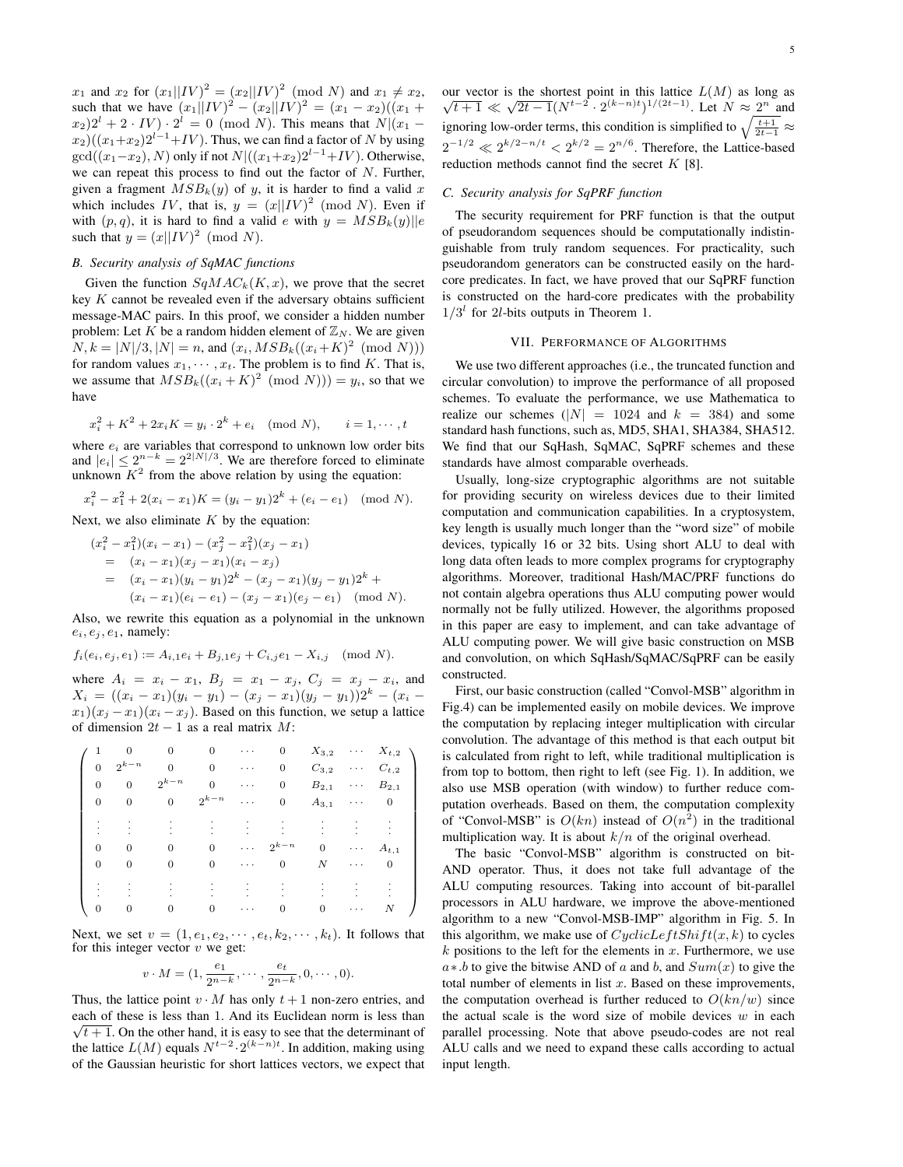$x_1$  and  $x_2$  for  $(x_1||IV)^2 = (x_2||IV)^2 \pmod{N}$  and  $x_1 \neq x_2$ , such that we have  $(x_1||IV)^2 - (x_2||IV)^2 = (x_1 - x_2)((x_1 +$  $f(x_2)2^l + 2 \cdot IV$ )  $\cdot 2^l = 0 \pmod{N}$ . This means that  $N|(x_1 \frac{x_2}{(x_1+x_2)}$  $\frac{y_1}{z_1+x_2}$  $\frac{y_2}{z_1+x_1}$ . Thus, we can find a factor of *N* by using  $gcd((x_1-x_2), N)$  only if not  $N$  $((x_1+x_2)2^{l-1}+IV)$ . Otherwise, we can repeat this process to find out the factor of *N*. Further, given a fragment  $MSB_k(y)$  of *y*, it is harder to find a valid *x* which includes *IV*, that is,  $y = (x||IV)^2 \pmod{N}$ . Even if with  $(p, q)$ , it is hard to find a valid *e* with  $y = MSB_k(y)$ *||e* such that  $y = (x||IV)^2 \pmod{N}$ .

## *B. Security analysis of SqMAC functions*

Given the function  $SqMAC_k(K, x)$ , we prove that the secret key *K* cannot be revealed even if the adversary obtains sufficient message-MAC pairs. In this proof, we consider a hidden number problem: Let  $K$  be a random hidden element of  $\mathbb{Z}_N$ . We are given  $N, k = |N|/3, |N| = n$ , and  $(x_i, MSB_k((x_i + K)^2 \pmod{N}))$ for random values  $x_1, \dots, x_t$ . The problem is to find *K*. That is, we assume that  $MSB_k((x_i + K)^2 \pmod{N})) = y_i$ , so that we have

$$
x_i^2 + K^2 + 2x_i K = y_i \cdot 2^k + e_i \pmod{N}, \qquad i = 1, \dots, t
$$

where  $e_i$  are variables that correspond to unknown low order bits and  $|e_i| \leq 2^{n-k} = 2^{2|N|/3}$ . We are therefore forced to eliminate unknown  $K^2$  from the above relation by using the equation:

$$
x_i^2 - x_1^2 + 2(x_i - x_1)K = (y_i - y_1)2^k + (e_i - e_1) \pmod{N}.
$$

Next, we also eliminate *K* by the equation:

$$
(x_i^2 - x_1^2)(x_i - x_1) - (x_j^2 - x_1^2)(x_j - x_1)
$$
  
=  $(x_i - x_1)(x_j - x_1)(x_i - x_j)$   
=  $(x_i - x_1)(y_i - y_1)2^k - (x_j - x_1)(y_j - y_1)2^k + (x_i - x_1)(e_i - e_1) - (x_j - x_1)(e_j - e_1)$  (mod N).

Also, we rewrite this equation as a polynomial in the unknown  $e_i, e_j, e_1$ , namely:

$$
f_i(e_i, e_j, e_1) := A_{i,1}e_i + B_{j,1}e_j + C_{i,j}e_1 - X_{i,j} \pmod{N}.
$$

where  $A_i = x_i - x_1$ ,  $B_j = x_1 - x_j$ ,  $C_j = x_j - x_i$ , and  $X_i = ((x_i - x_1)(y_i - y_1) - (x_j - x_1)(y_j - y_1))2^k - (x_i - y_1)(y_i - y_1)$  $x_1(x_i - x_1)(x_i - x_j)$ . Based on this function, we setup a lattice of dimension 2*t −* 1 as a real matrix *M*:

|                |                |           |           |          |           | $X_{3,2}$    |                 | $X_{t,2}$ |  |
|----------------|----------------|-----------|-----------|----------|-----------|--------------|-----------------|-----------|--|
| $\Omega$       | $2^{k-n}$      |           | 0         | .        | 0         | $C_{3,2}$    | $\cdot$ $\cdot$ | $C_{t,2}$ |  |
| $\theta$       | $\overline{0}$ | $2^{k-n}$ |           | .        | 0         | $B_{2,1}$    | .               | $B_{2,1}$ |  |
| $\overline{0}$ |                |           | $2^{k-n}$ | .        | 0         | $A_{3,1}$    | .               | 0         |  |
|                |                |           |           |          |           |              |                 |           |  |
|                |                |           |           |          |           |              |                 |           |  |
| $\Omega$       |                |           | $\Omega$  | $\cdots$ | $2^{k-n}$ | $\mathbf{0}$ | .               | $A_{t,1}$ |  |
| 0              |                |           | 0         | .        | 0         | Ν            | .               | 0         |  |
|                |                |           |           |          |           |              |                 |           |  |
|                |                |           |           |          |           |              |                 |           |  |
| 0              |                |           |           |          | U         | 0            | .               | $\cal N$  |  |

Next, we set  $v = (1, e_1, e_2, \dots, e_t, k_2, \dots, k_t)$ . It follows that for this integer vector *v* we get:

$$
v \cdot M = (1, \frac{e_1}{2^{n-k}}, \cdots, \frac{e_t}{2^{n-k}}, 0, \cdots, 0).
$$

Thus, the lattice point  $v \cdot M$  has only  $t + 1$  non-zero entries, and each of these is less than 1. And its Euclidean norm is less than  $\sqrt{t+1}$ . On the other hand, it is easy to see that the determinant of the lattice  $L(M)$  equals  $N^{t-2} \cdot 2^{(k-n)t}$ . In addition, making using of the Gaussian heuristic for short lattices vectors, we expect that our vector is the shortest point in this lattice  $L(M)$  as long as  $\sqrt{t+1} \ll \sqrt{2t-1} (N^{t-2} \cdot 2^{(k-n)t})^{1/(2t-1)}$ . Let  $N \approx 2^n$  and ignoring low-order terms, this condition is simplified to  $\sqrt{\frac{t+1}{2t-1}} \approx$  $2^{-1/2}$  ≪  $2^{k/2-n/t}$  <  $2^{k/2} = 2^{n/6}$ . Therefore, the Lattice-based reduction methods cannot find the secret *K* [8].

## *C. Security analysis for SqPRF function*

The security requirement for PRF function is that the output of pseudorandom sequences should be computationally indistinguishable from truly random sequences. For practicality, such pseudorandom generators can be constructed easily on the hardcore predicates. In fact, we have proved that our SqPRF function is constructed on the hard-core predicates with the probability  $1/3<sup>l</sup>$  for 2*l*-bits outputs in Theorem 1.

## VII. PERFORMANCE OF ALGORITHMS

We use two different approaches (i.e., the truncated function and circular convolution) to improve the performance of all proposed schemes. To evaluate the performance, we use Mathematica to realize our schemes  $(|N| = 1024$  and  $k = 384$ ) and some standard hash functions, such as, MD5, SHA1, SHA384, SHA512. We find that our SqHash, SqMAC, SqPRF schemes and these standards have almost comparable overheads.

Usually, long-size cryptographic algorithms are not suitable for providing security on wireless devices due to their limited computation and communication capabilities. In a cryptosystem, key length is usually much longer than the "word size" of mobile devices, typically 16 or 32 bits. Using short ALU to deal with long data often leads to more complex programs for cryptography algorithms. Moreover, traditional Hash/MAC/PRF functions do not contain algebra operations thus ALU computing power would normally not be fully utilized. However, the algorithms proposed in this paper are easy to implement, and can take advantage of ALU computing power. We will give basic construction on MSB and convolution, on which SqHash/SqMAC/SqPRF can be easily constructed.

First, our basic construction (called "Convol-MSB" algorithm in Fig.4) can be implemented easily on mobile devices. We improve the computation by replacing integer multiplication with circular convolution. The advantage of this method is that each output bit is calculated from right to left, while traditional multiplication is from top to bottom, then right to left (see Fig. 1). In addition, we also use MSB operation (with window) to further reduce computation overheads. Based on them, the computation complexity of "Convol-MSB" is  $O(kn)$  instead of  $O(n^2)$  in the traditional multiplication way. It is about *k/n* of the original overhead.

The basic "Convol-MSB" algorithm is constructed on bit-AND operator. Thus, it does not take full advantage of the ALU computing resources. Taking into account of bit-parallel processors in ALU hardware, we improve the above-mentioned algorithm to a new "Convol-MSB-IMP" algorithm in Fig. 5. In this algorithm, we make use of  $CyclicLeftShift(x, k)$  to cycles  $k$  positions to the left for the elements in  $x$ . Furthermore, we use *a∗.b* to give the bitwise AND of *a* and *b*, and *Sum*(*x*) to give the total number of elements in list *x*. Based on these improvements, the computation overhead is further reduced to  $O(kn/w)$  since the actual scale is the word size of mobile devices *w* in each parallel processing. Note that above pseudo-codes are not real ALU calls and we need to expand these calls according to actual input length.